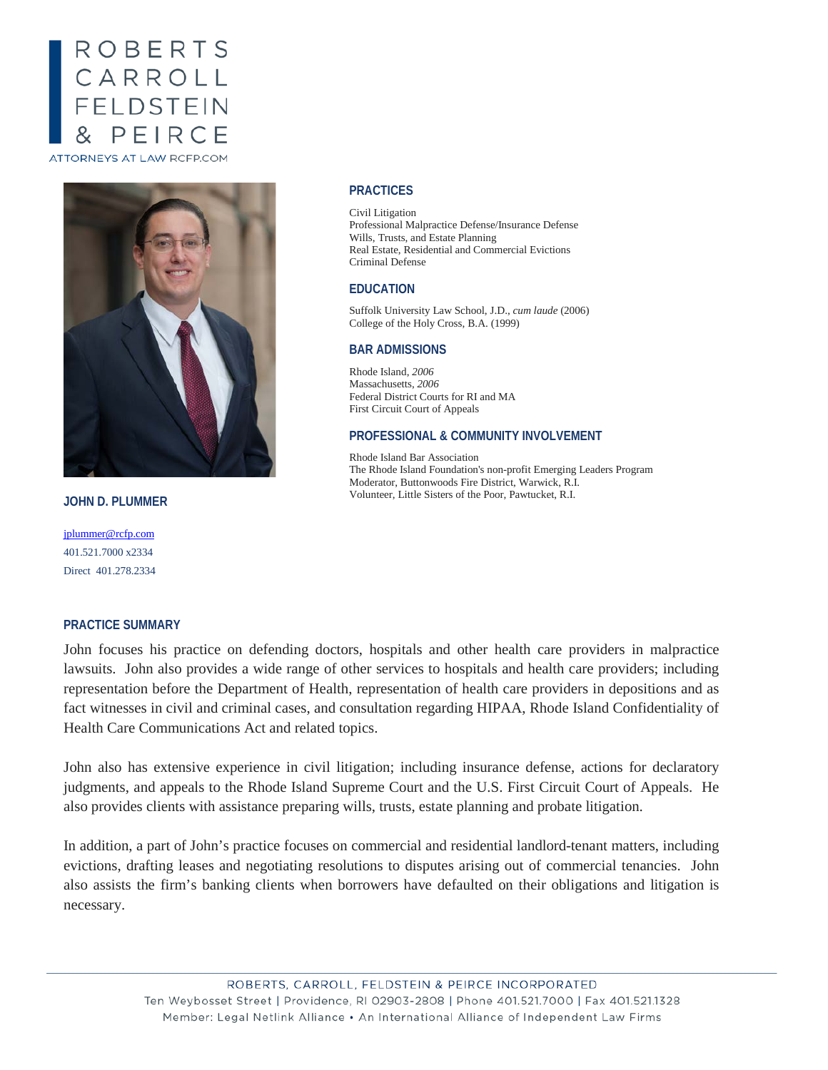# ROBERTS<br>CARROLL<br>FELDSTEIN  $PENRC$ ATTORNEYS AT LAW RCFP.COM



**JOHN D. PLUMMER**

[jplummer@rcfp.com](mailto:jplummer@rcfp.com) 401.521.7000 x2334 Direct 401.278.2334

## **PRACTICE SUMMARY**

# John focuses his practice on defending doctors, hospitals and other health care providers in malpractice lawsuits. John also provides a wide range of other services to hospitals and health care providers; including representation before the Department of Health, representation of health care providers in depositions and as fact witnesses in civil and criminal cases, and consultation regarding HIPAA, Rhode Island Confidentiality of Health Care Communications Act and related topics.

John also has extensive experience in civil litigation; including insurance defense, actions for declaratory judgments, and appeals to the Rhode Island Supreme Court and the U.S. First Circuit Court of Appeals. He also provides clients with assistance preparing wills, trusts, estate planning and probate litigation.

In addition, a part of John's practice focuses on commercial and residential landlord-tenant matters, including evictions, drafting leases and negotiating resolutions to disputes arising out of commercial tenancies. John also assists the firm's banking clients when borrowers have defaulted on their obligations and litigation is necessary.

## ROBERTS, CARROLL, FELDSTEIN & PEIRCE INCORPORATED Ten Weybosset Street | Providence, RI 02903-2808 | Phone 401.521.7000 | Fax 401.521.1328 Member: Legal Netlink Alliance • An International Alliance of Independent Law Firms

#### **PRACTICES**

Civil Litigation Professional Malpractice Defense/Insurance Defense Wills, Trusts, and Estate Planning Real Estate, Residential and Commercial Evictions Criminal Defense

#### **EDUCATION**

Suffolk University Law School, J.D., *cum laude* (2006) College of the Holy Cross, B.A. (1999)

#### **BAR ADMISSIONS**

Rhode Island, *2006* Massachusetts, *2006* Federal District Courts for RI and MA First Circuit Court of Appeals

#### **PROFESSIONAL & COMMUNITY INVOLVEMENT**

Rhode Island Bar Association The Rhode Island Foundation's non-profit Emerging Leaders Program Moderator, Buttonwoods Fire District, Warwick, R.I. Volunteer, Little Sisters of the Poor, Pawtucket, R.I.